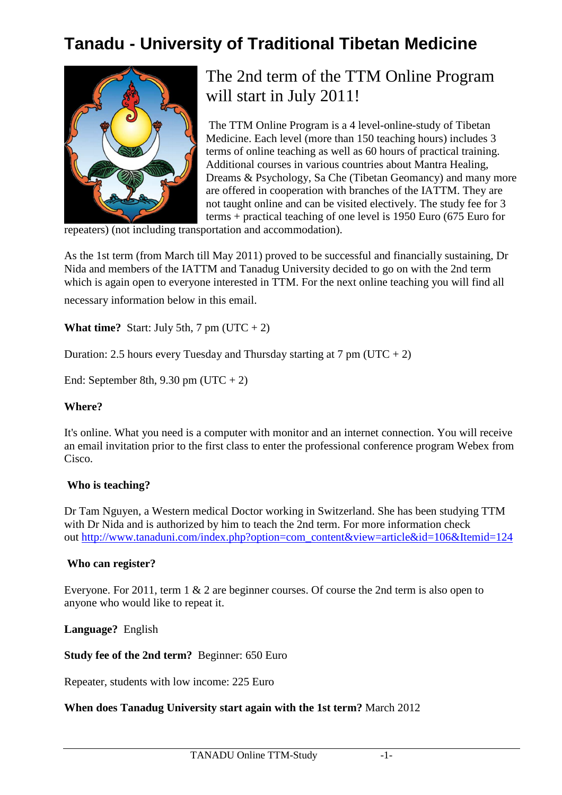# **Tanadu - University of Traditional Tibetan Medicine**



## The 2nd term of the TTM Online Program will start in July 2011!

 The TTM Online Program is a 4 level-online-study of Tibetan Medicine. Each level (more than 150 teaching hours) includes 3 terms of online teaching as well as 60 hours of practical training. Additional courses in various countries about Mantra Healing, Dreams & Psychology, Sa Che (Tibetan Geomancy) and many more are offered in cooperation with branches of the IATTM. They are not taught online and can be visited electively. The study fee for 3 terms + practical teaching of one level is 1950 Euro (675 Euro for

repeaters) (not including transportation and accommodation).

As the 1st term (from March till May 2011) proved to be successful and financially sustaining, Dr Nida and members of the IATTM and Tanadug University decided to go on with the 2nd term which is again open to everyone interested in TTM. For the next online teaching you will find all necessary information below in this email.

**What time?** Start: July 5th, 7 pm ( $UTC + 2$ )

Duration: 2.5 hours every Tuesday and Thursday starting at 7 pm (UTC + 2)

End: September 8th,  $9.30 \text{ pm}$  (UTC + 2)

### **Where?**

It's online. What you need is a computer with monitor and an internet connection. You will receive an email invitation prior to the first class to enter the professional conference program Webex from Cisco.

### **Who is teaching?**

Dr Tam Nguyen, a Western medical Doctor working in Switzerland. She has been studying TTM with Dr Nida and is authorized by him to teach the 2nd term. For more information check out http://www.tanaduni.com/index.php?option=com\_content&view=article&id=106&Itemid=124

### **Who can register?**

Everyone. For 2011, term 1 & 2 are beginner courses. Of course the 2nd term is also open to anyone who would like to repeat it.

**Language?** English

**Study fee of the 2nd term?** Beginner: 650 Euro

Repeater, students with low income: 225 Euro

### **When does Tanadug University start again with the 1st term?** March 2012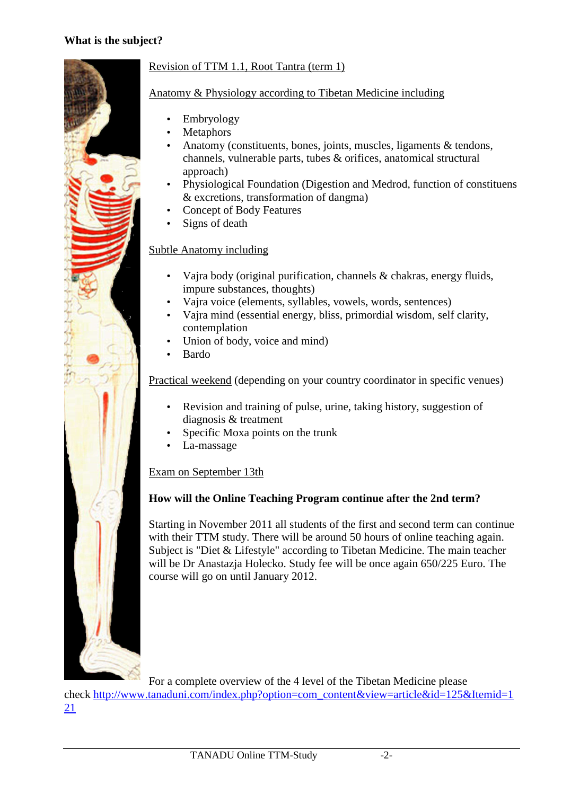

## Revision of TTM 1.1, Root Tantra (term 1)

## Anatomy & Physiology according to Tibetan Medicine including

- Embryology
- **Metaphors**
- Anatomy (constituents, bones, joints, muscles, ligaments & tendons, channels, vulnerable parts, tubes & orifices, anatomical structural approach)
- Physiological Foundation (Digestion and Medrod, function of constituens & excretions, transformation of dangma)
- Concept of Body Features
- Signs of death

## Subtle Anatomy including

- Vajra body (original purification, channels & chakras, energy fluids, impure substances, thoughts)
- Vajra voice (elements, syllables, vowels, words, sentences)
- Vajra mind (essential energy, bliss, primordial wisdom, self clarity, contemplation
- Union of body, voice and mind)
- Bardo

Practical weekend (depending on your country coordinator in specific venues)

- Revision and training of pulse, urine, taking history, suggestion of diagnosis & treatment
- Specific Moxa points on the trunk
- La-massage

## Exam on September 13th

## **How will the Online Teaching Program continue after the 2nd term?**

Starting in November 2011 all students of the first and second term can continue with their TTM study. There will be around 50 hours of online teaching again. Subject is "Diet & Lifestyle" according to Tibetan Medicine. The main teacher will be Dr Anastazja Holecko. Study fee will be once again 650/225 Euro. The course will go on until January 2012.

For a complete overview of the 4 level of the Tibetan Medicine please

check http://www.tanaduni.com/index.php?option=com\_content&view=article&id=125&Itemid=1 21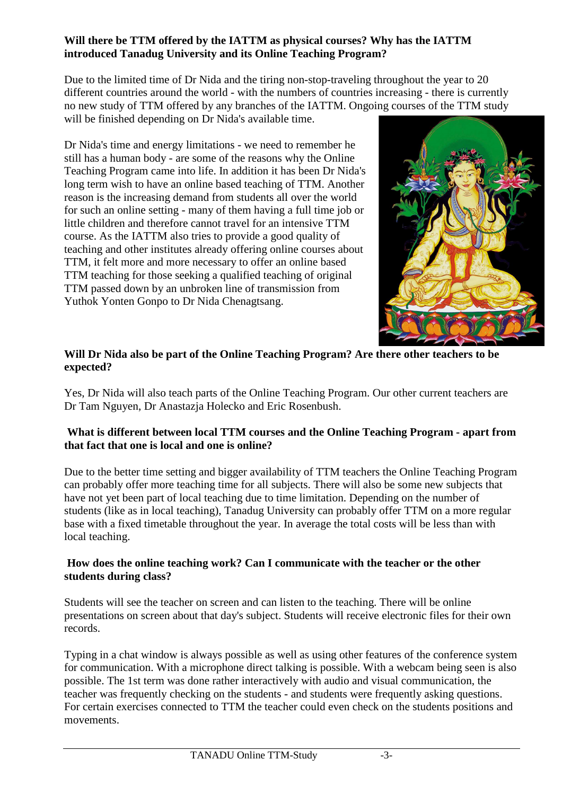## **Will there be TTM offered by the IATTM as physical courses? Why has the IATTM introduced Tanadug University and its Online Teaching Program?**

Due to the limited time of Dr Nida and the tiring non-stop-traveling throughout the year to 20 different countries around the world - with the numbers of countries increasing - there is currently no new study of TTM offered by any branches of the IATTM. Ongoing courses of the TTM study will be finished depending on Dr Nida's available time.

Dr Nida's time and energy limitations - we need to remember he still has a human body - are some of the reasons why the Online Teaching Program came into life. In addition it has been Dr Nida's long term wish to have an online based teaching of TTM. Another reason is the increasing demand from students all over the world for such an online setting - many of them having a full time job or little children and therefore cannot travel for an intensive TTM course. As the IATTM also tries to provide a good quality of teaching and other institutes already offering online courses about TTM, it felt more and more necessary to offer an online based TTM teaching for those seeking a qualified teaching of original TTM passed down by an unbroken line of transmission from Yuthok Yonten Gonpo to Dr Nida Chenagtsang.



## **Will Dr Nida also be part of the Online Teaching Program? Are there other teachers to be expected?**

Yes, Dr Nida will also teach parts of the Online Teaching Program. Our other current teachers are Dr Tam Nguyen, Dr Anastazja Holecko and Eric Rosenbush.

## **What is different between local TTM courses and the Online Teaching Program - apart from that fact that one is local and one is online?**

Due to the better time setting and bigger availability of TTM teachers the Online Teaching Program can probably offer more teaching time for all subjects. There will also be some new subjects that have not yet been part of local teaching due to time limitation. Depending on the number of students (like as in local teaching), Tanadug University can probably offer TTM on a more regular base with a fixed timetable throughout the year. In average the total costs will be less than with local teaching.

### **How does the online teaching work? Can I communicate with the teacher or the other students during class?**

Students will see the teacher on screen and can listen to the teaching. There will be online presentations on screen about that day's subject. Students will receive electronic files for their own records.

Typing in a chat window is always possible as well as using other features of the conference system for communication. With a microphone direct talking is possible. With a webcam being seen is also possible. The 1st term was done rather interactively with audio and visual communication, the teacher was frequently checking on the students - and students were frequently asking questions. For certain exercises connected to TTM the teacher could even check on the students positions and movements.